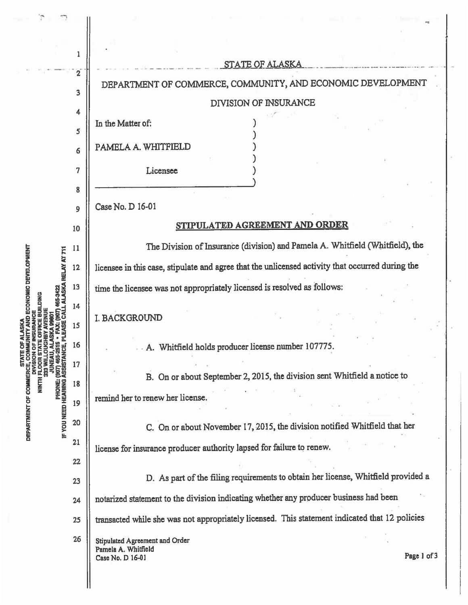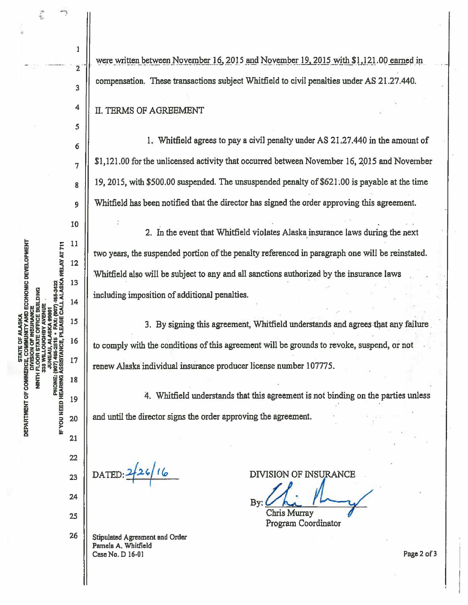**ITY AND ECONOMIC DEVELOPMENT** ALASKA RELAY AT 711 **907) 465-3422** BUILDING CALL. PLEASE **IF YOU NEED HEARING ASSISTANCE,** g **UNERALLY COMMERCES COM**<br>DIVISION<br>NNTH FLOOR ST<br>SUNER COMMERCE<br>SUNERAU DEPARTMENT OF COMMERCE,

26

Stipulated Agreement and Order Pamela A. Whitfield Case No. D 16-01

DATED: <sup>2</sup>

By: Chris Murray SURANCE<br>| Lucy Contractor

Page 2 of 3

Program Coordinator

Whitfield also will be subject to any and all sanctions authorized by the insurance laws including imposition of additional penalties.

to comply with the conditions of this agreement will be grounds to revoke, suspend, or not

renew Alaska individual insurance producer license number 107775.

and until the director signs the order approving the agreement.

two years, the suspended portion of the penalty referenced in paragraph one will be reinstated.

II. TERMS OF AGREEMENT

were written between November 16, 2015 and November 19, 2015 with \$1,121.00 earned in compensation. These transactions subject Whitfield to civil penalties under AS 21.27 .440.

\$1,121.00 for the unlicensed activity that occurred between November 16, 2015 and November

19, 2015, with  $$500.00$  suspended. The unsuspended penalty of  $$621.00$  is payable at the time

Whitfield has been notified that the director has signed the order approving this agreement.

1. Whitfield agrees to pay a civil penalty under AS 21.27.440 in the amount of

2. In the event that Whitfield violates Alaska insurance laws during the next

3. By signing this agreement, Whitfield understands and agrees that any failure

4. Whitfield understands that this agreement is not binding on the parties unless

l

 $\overline{2}$ 

3

4

*5* 

6

7

8

9

10

11

 $12$ 

13

14